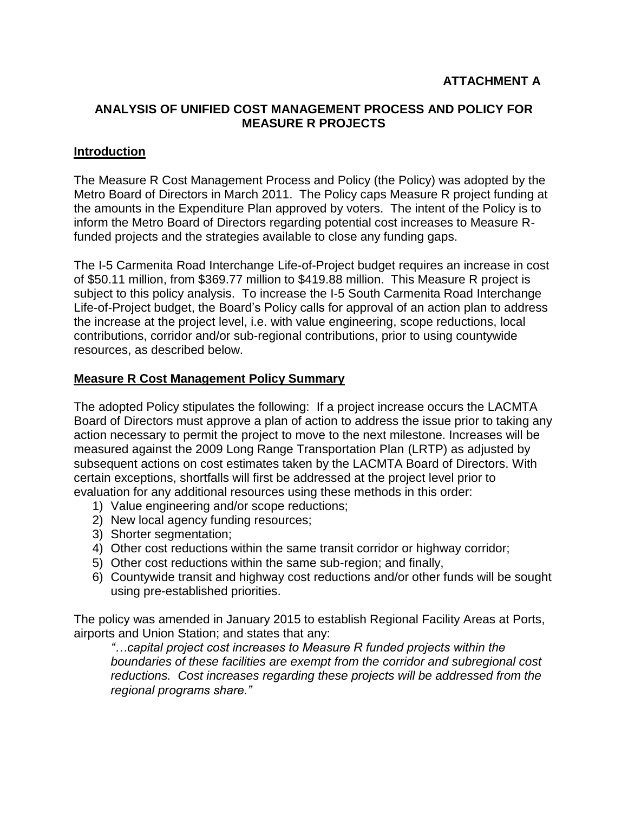# **ANALYSIS OF UNIFIED COST MANAGEMENT PROCESS AND POLICY FOR MEASURE R PROJECTS**

# **Introduction**

The Measure R Cost Management Process and Policy (the Policy) was adopted by the Metro Board of Directors in March 2011. The Policy caps Measure R project funding at the amounts in the Expenditure Plan approved by voters. The intent of the Policy is to inform the Metro Board of Directors regarding potential cost increases to Measure Rfunded projects and the strategies available to close any funding gaps.

The I-5 Carmenita Road Interchange Life-of-Project budget requires an increase in cost of \$50.11 million, from \$369.77 million to \$419.88 million. This Measure R project is subject to this policy analysis. To increase the I-5 South Carmenita Road Interchange Life-of-Project budget, the Board's Policy calls for approval of an action plan to address the increase at the project level, i.e. with value engineering, scope reductions, local contributions, corridor and/or sub-regional contributions, prior to using countywide resources, as described below.

### **Measure R Cost Management Policy Summary**

The adopted Policy stipulates the following: If a project increase occurs the LACMTA Board of Directors must approve a plan of action to address the issue prior to taking any action necessary to permit the project to move to the next milestone. Increases will be measured against the 2009 Long Range Transportation Plan (LRTP) as adjusted by subsequent actions on cost estimates taken by the LACMTA Board of Directors. With certain exceptions, shortfalls will first be addressed at the project level prior to evaluation for any additional resources using these methods in this order:

- 1) Value engineering and/or scope reductions;
- 2) New local agency funding resources;
- 3) Shorter segmentation;
- 4) Other cost reductions within the same transit corridor or highway corridor;
- 5) Other cost reductions within the same sub-region; and finally,
- 6) Countywide transit and highway cost reductions and/or other funds will be sought using pre-established priorities.

The policy was amended in January 2015 to establish Regional Facility Areas at Ports, airports and Union Station; and states that any:

*"…capital project cost increases to Measure R funded projects within the boundaries of these facilities are exempt from the corridor and subregional cost reductions. Cost increases regarding these projects will be addressed from the regional programs share."*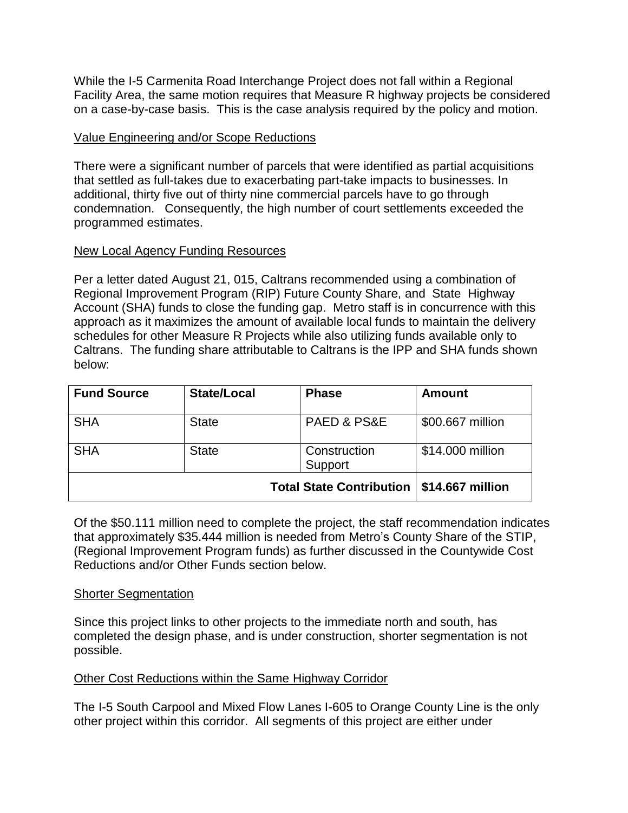While the I-5 Carmenita Road Interchange Project does not fall within a Regional Facility Area, the same motion requires that Measure R highway projects be considered on a case-by-case basis. This is the case analysis required by the policy and motion.

# Value Engineering and/or Scope Reductions

There were a significant number of parcels that were identified as partial acquisitions that settled as full-takes due to exacerbating part-take impacts to businesses. In additional, thirty five out of thirty nine commercial parcels have to go through condemnation. Consequently, the high number of court settlements exceeded the programmed estimates.

### New Local Agency Funding Resources

Per a letter dated August 21, 015, Caltrans recommended using a combination of Regional Improvement Program (RIP) Future County Share, and State Highway Account (SHA) funds to close the funding gap. Metro staff is in concurrence with this approach as it maximizes the amount of available local funds to maintain the delivery schedules for other Measure R Projects while also utilizing funds available only to Caltrans. The funding share attributable to Caltrans is the IPP and SHA funds shown below:

| <b>Fund Source</b>              | <b>State/Local</b> | <b>Phase</b>               | <b>Amount</b>    |
|---------------------------------|--------------------|----------------------------|------------------|
| <b>SHA</b>                      | <b>State</b>       | <b>PAED &amp; PS&amp;E</b> | \$00.667 million |
| <b>SHA</b>                      | <b>State</b>       | Construction<br>Support    | \$14.000 million |
| <b>Total State Contribution</b> |                    |                            | \$14.667 million |

Of the \$50.111 million need to complete the project, the staff recommendation indicates that approximately \$35.444 million is needed from Metro's County Share of the STIP, (Regional Improvement Program funds) as further discussed in the Countywide Cost Reductions and/or Other Funds section below.

#### Shorter Segmentation

Since this project links to other projects to the immediate north and south, has completed the design phase, and is under construction, shorter segmentation is not possible.

### Other Cost Reductions within the Same Highway Corridor

The I-5 South Carpool and Mixed Flow Lanes I-605 to Orange County Line is the only other project within this corridor. All segments of this project are either under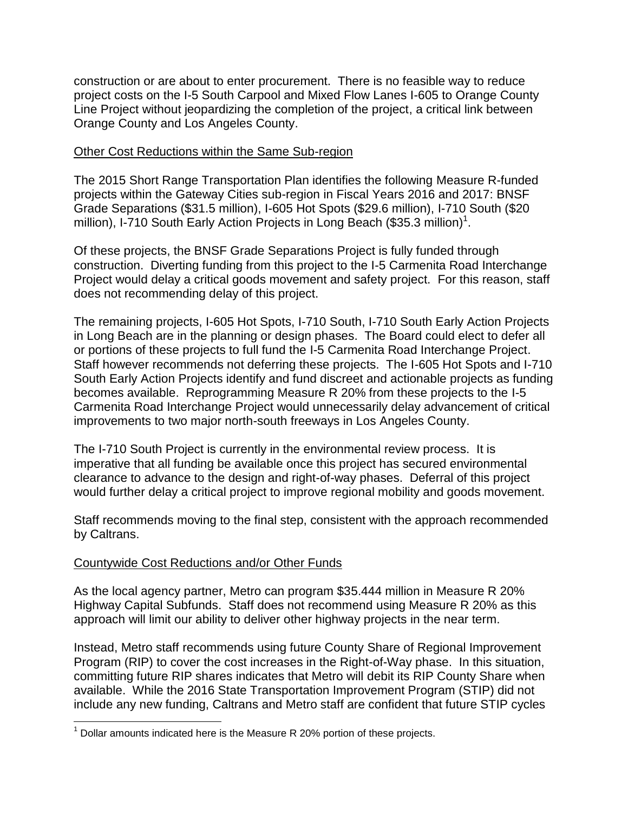construction or are about to enter procurement. There is no feasible way to reduce project costs on the I-5 South Carpool and Mixed Flow Lanes I-605 to Orange County Line Project without jeopardizing the completion of the project, a critical link between Orange County and Los Angeles County.

### Other Cost Reductions within the Same Sub-region

The 2015 Short Range Transportation Plan identifies the following Measure R-funded projects within the Gateway Cities sub-region in Fiscal Years 2016 and 2017: BNSF Grade Separations (\$31.5 million), I-605 Hot Spots (\$29.6 million), I-710 South (\$20 million), I-710 South Early Action Projects in Long Beach (\$35.3 million)<sup>1</sup>.

Of these projects, the BNSF Grade Separations Project is fully funded through construction. Diverting funding from this project to the I-5 Carmenita Road Interchange Project would delay a critical goods movement and safety project. For this reason, staff does not recommending delay of this project.

The remaining projects, I-605 Hot Spots, I-710 South, I-710 South Early Action Projects in Long Beach are in the planning or design phases. The Board could elect to defer all or portions of these projects to full fund the I-5 Carmenita Road Interchange Project. Staff however recommends not deferring these projects. The I-605 Hot Spots and I-710 South Early Action Projects identify and fund discreet and actionable projects as funding becomes available. Reprogramming Measure R 20% from these projects to the I-5 Carmenita Road Interchange Project would unnecessarily delay advancement of critical improvements to two major north-south freeways in Los Angeles County.

The I-710 South Project is currently in the environmental review process. It is imperative that all funding be available once this project has secured environmental clearance to advance to the design and right-of-way phases. Deferral of this project would further delay a critical project to improve regional mobility and goods movement.

Staff recommends moving to the final step, consistent with the approach recommended by Caltrans.

# Countywide Cost Reductions and/or Other Funds

As the local agency partner, Metro can program \$35.444 million in Measure R 20% Highway Capital Subfunds. Staff does not recommend using Measure R 20% as this approach will limit our ability to deliver other highway projects in the near term.

Instead, Metro staff recommends using future County Share of Regional Improvement Program (RIP) to cover the cost increases in the Right-of-Way phase. In this situation, committing future RIP shares indicates that Metro will debit its RIP County Share when available. While the 2016 State Transportation Improvement Program (STIP) did not include any new funding, Caltrans and Metro staff are confident that future STIP cycles

 $\overline{\phantom{a}}$  $1$  Dollar amounts indicated here is the Measure R 20% portion of these projects.